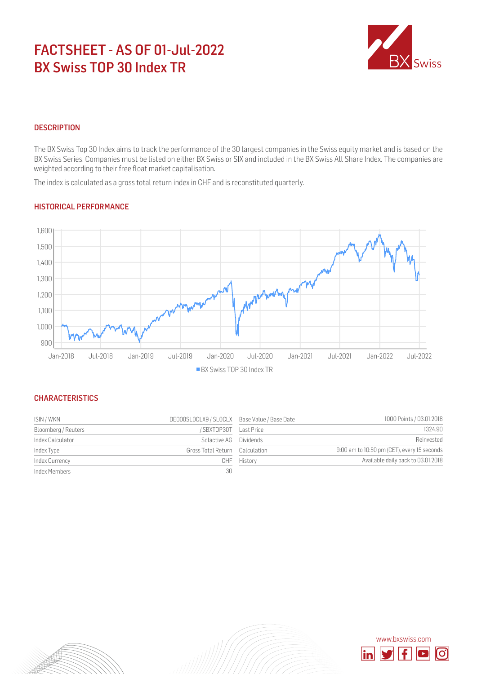# FACTSHEET - AS OF 01-Jul-2022 BX Swiss TOP 30 Index TR



## **DESCRIPTION**

The BX Swiss Top 30 Index aims to track the performance of the 30 largest companies in the Swiss equity market and is based on the BX Swiss Series. Companies must be listed on either BX Swiss or SIX and included in the BX Swiss All Share Index. The companies are weighted according to their free float market capitalisation.

The index is calculated as a gross total return index in CHF and is reconstituted quarterly.

## HISTORICAL PERFORMANCE



#### **CHARACTERISTICS**

| ISIN / WKN          | DE000SLOCLX9 / SLOCLX Base Value / Base Date |           | 1000 Points / 03.01.2018                    |
|---------------------|----------------------------------------------|-----------|---------------------------------------------|
| Bloomberg / Reuters | /.SBXTOP30T Last Price                       |           | 1324.90                                     |
| Index Calculator    | Solactive AG                                 | Dividends | Reinvested                                  |
| Index Type          | Gross Total Return Calculation               |           | 9:00 am to 10:50 pm (CET), every 15 seconds |
| Index Currency      | CHF                                          | History   | Available daily back to 03.01.2018          |
| Index Members       | 30                                           |           |                                             |

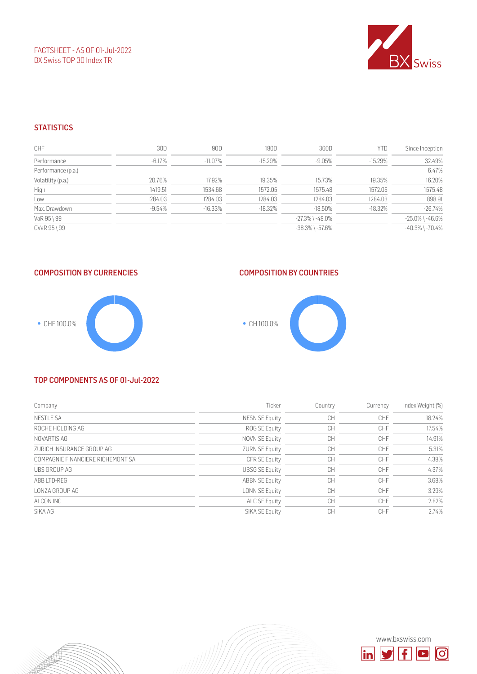FACTSHEET - AS OF 01-Jul-2022 BX Swiss TOP 30 Index TR



## **STATISTICS**

| <b>CHF</b>         | 30D       | 90D        | 180D      | 360D                  | <b>YTD</b> | Since Inception       |
|--------------------|-----------|------------|-----------|-----------------------|------------|-----------------------|
| Performance        | $-6.17\%$ | $-11.07\%$ | -15.29%   | $-9.05\%$             | $-15.29\%$ | 32.49%                |
| Performance (p.a.) |           |            |           |                       |            | 6.47%                 |
| Volatility (p.a.)  | 20.76%    | 17.92%     | 19.35%    | 15.73%                | 19.35%     | 16.20%                |
| High               | 1419.51   | 1534.68    | 1572.05   | 1575.48               | 1572.05    | 1575.48               |
| Low                | 1284.03   | 1284.03    | 1284.03   | 1284.03               | 1284.03    | 898.91                |
| Max. Drawdown      | $-9.54\%$ | $-16.33%$  | $-18.32%$ | $-18.50%$             | $-18.32%$  | $-26.74%$             |
| VaR 95 \ 99        |           |            |           | $-27.3\%$ \ $-48.0\%$ |            | $-25.0\%$ \ $-46.6\%$ |
| CVaR 95 \ 99       |           |            |           | $-38.3\%$ \ $-57.6\%$ |            | $-40.3\%$ \ $-70.4\%$ |

#### COMPOSITION BY CURRENCIES



## COMPOSITION BY COUNTRIES



#### TOP COMPONENTS AS OF 01-Jul-2022

| Company                           | Ticker                | Country   | Currency   | Index Weight (%) |
|-----------------------------------|-----------------------|-----------|------------|------------------|
| <b>NESTLE SA</b>                  | NESN SE Equity        | <b>CH</b> | <b>CHF</b> | 18.24%           |
| ROCHE HOLDING AG                  | ROG SE Equity         | CН        | <b>CHF</b> | 17.54%           |
| NOVARTIS AG                       | NOVN SE Equity        | CН        | <b>CHF</b> | 14.91%           |
| ZURICH INSURANCE GROUP AG         | <b>ZURN SE Equity</b> | CН        | <b>CHF</b> | 5.31%            |
| COMPAGNIE FINANCIERE RICHEMONT SA | CFR SE Equity         | <b>CH</b> | <b>CHF</b> | 4.38%            |
| UBS GROUP AG                      | <b>UBSG SE Equity</b> | <b>CH</b> | <b>CHF</b> | 4.37%            |
| ABB LTD-REG                       | <b>ABBN SE Equity</b> | <b>CH</b> | CHF        | 3.68%            |
| LONZA GROUP AG                    | LONN SE Equity        | <b>CH</b> | <b>CHF</b> | 3.29%            |
| ALCON INC                         | ALC SE Equity         | CН        | <b>CHF</b> | 2.82%            |
| SIKA AG                           | SIKA SE Equity        | СH        | <b>CHF</b> | 2.74%            |